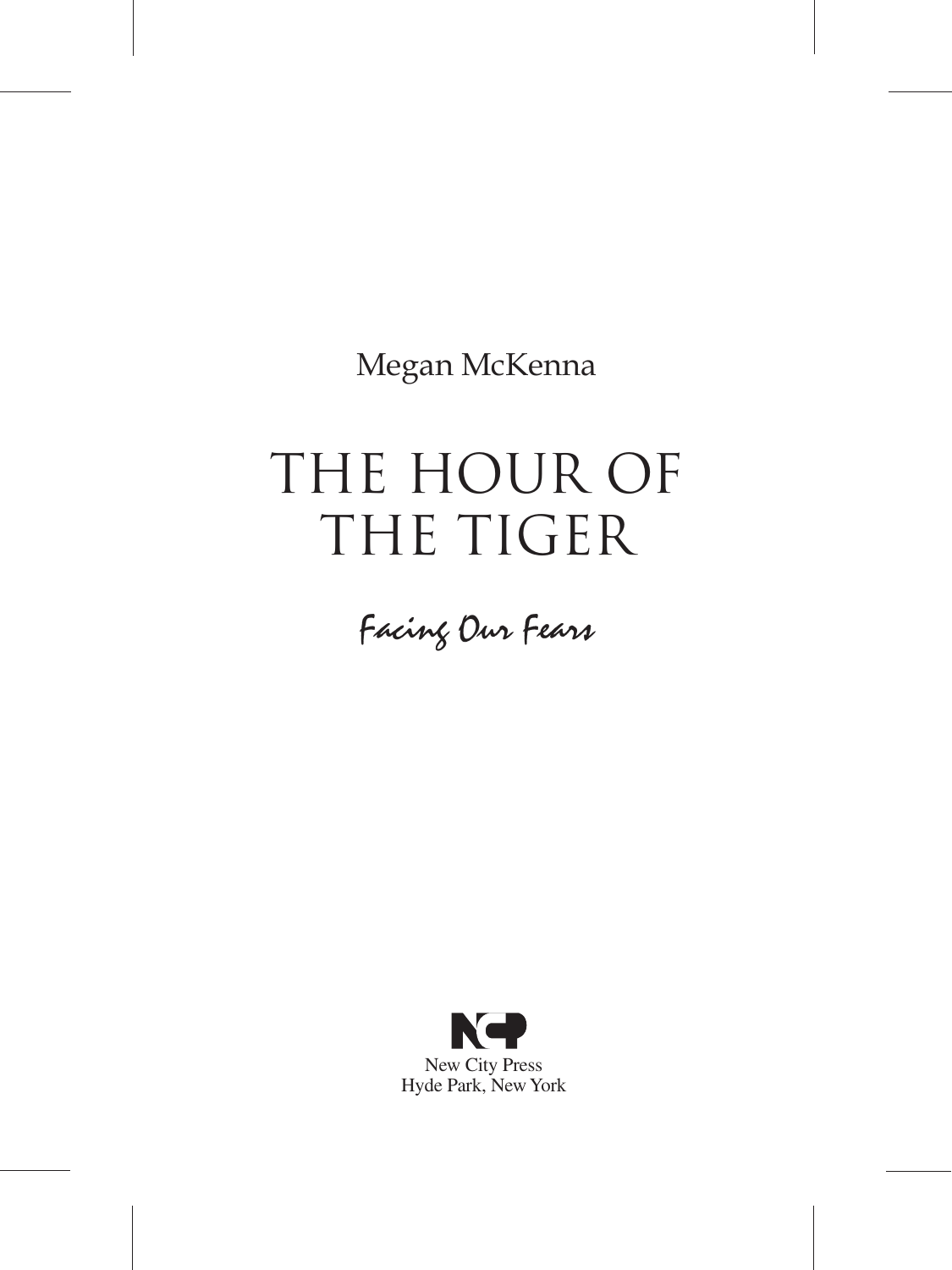Megan McKenna

# THE HOUR OF THE TIGER

Facing Our Fears

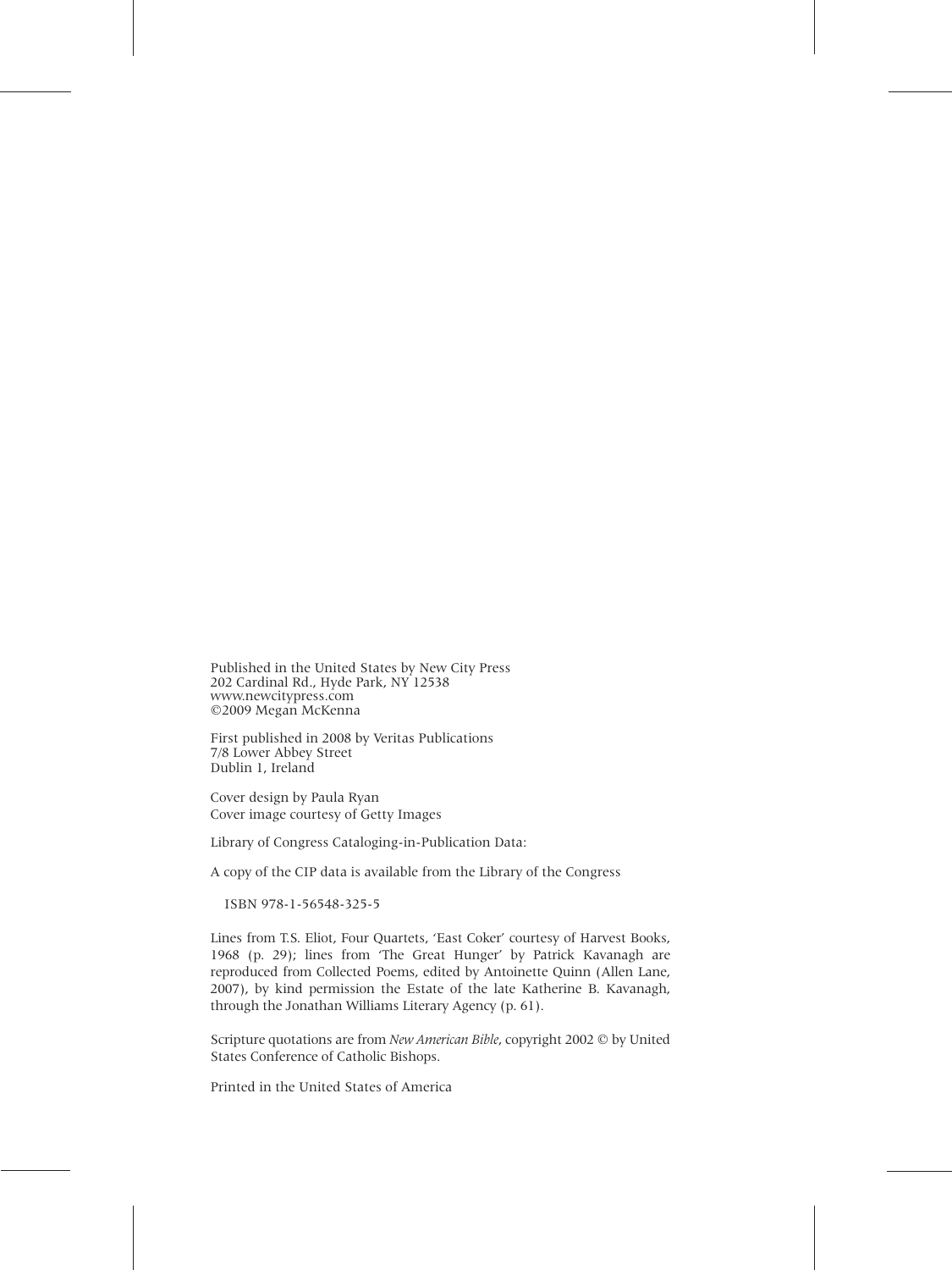Published in the United States by New City Press 202 Cardinal Rd., Hyde Park, NY 12538 www.newcitypress.com ©2009 Megan McKenna

First published in 2008 by Veritas Publications 7/8 Lower Abbey Street Dublin 1, Ireland

Cover design by Paula Ryan Cover image courtesy of Getty Images

Library of Congress Cataloging-in-Publication Data:

A copy of the CIP data is available from the Library of the Congress

ISBN 978-1-56548-325-5

Lines from T.S. Eliot, Four Quartets, 'East Coker' courtesy of Harvest Books, 1968 (p. 29); lines from 'The Great Hunger' by Patrick Kavanagh are reproduced from Collected Poems, edited by Antoinette Quinn (Allen Lane, 2007), by kind permission the Estate of the late Katherine B. Kavanagh, through the Jonathan Williams Literary Agency (p. 61).

Scripture quotations are from *New American Bible*, copyright 2002 © by United States Conference of Catholic Bishops.

Printed in the United States of America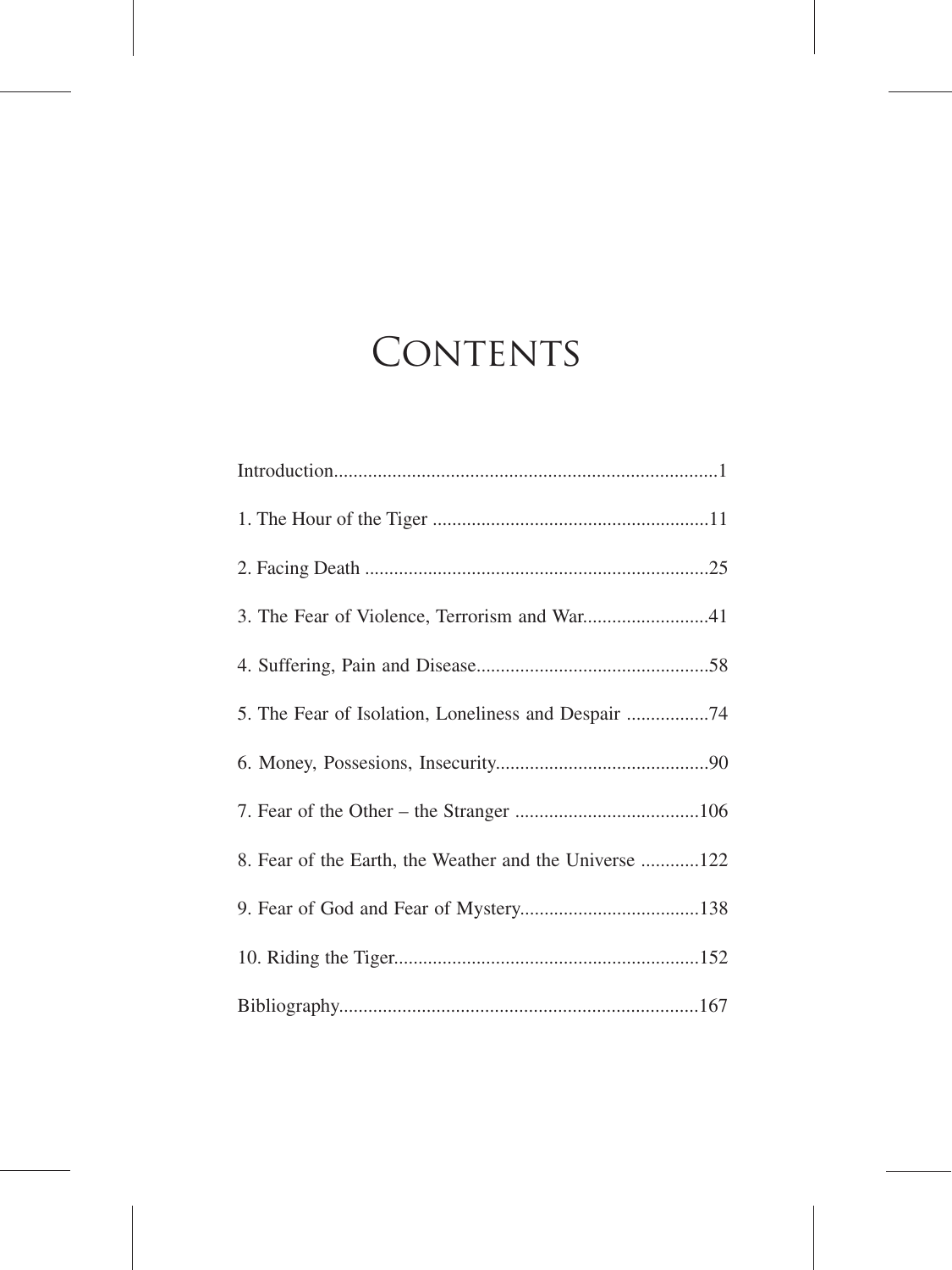### CONTENTS

| 3. The Fear of Violence, Terrorism and War41           |  |
|--------------------------------------------------------|--|
|                                                        |  |
| 5. The Fear of Isolation, Loneliness and Despair 74    |  |
|                                                        |  |
|                                                        |  |
| 8. Fear of the Earth, the Weather and the Universe 122 |  |
|                                                        |  |
|                                                        |  |
|                                                        |  |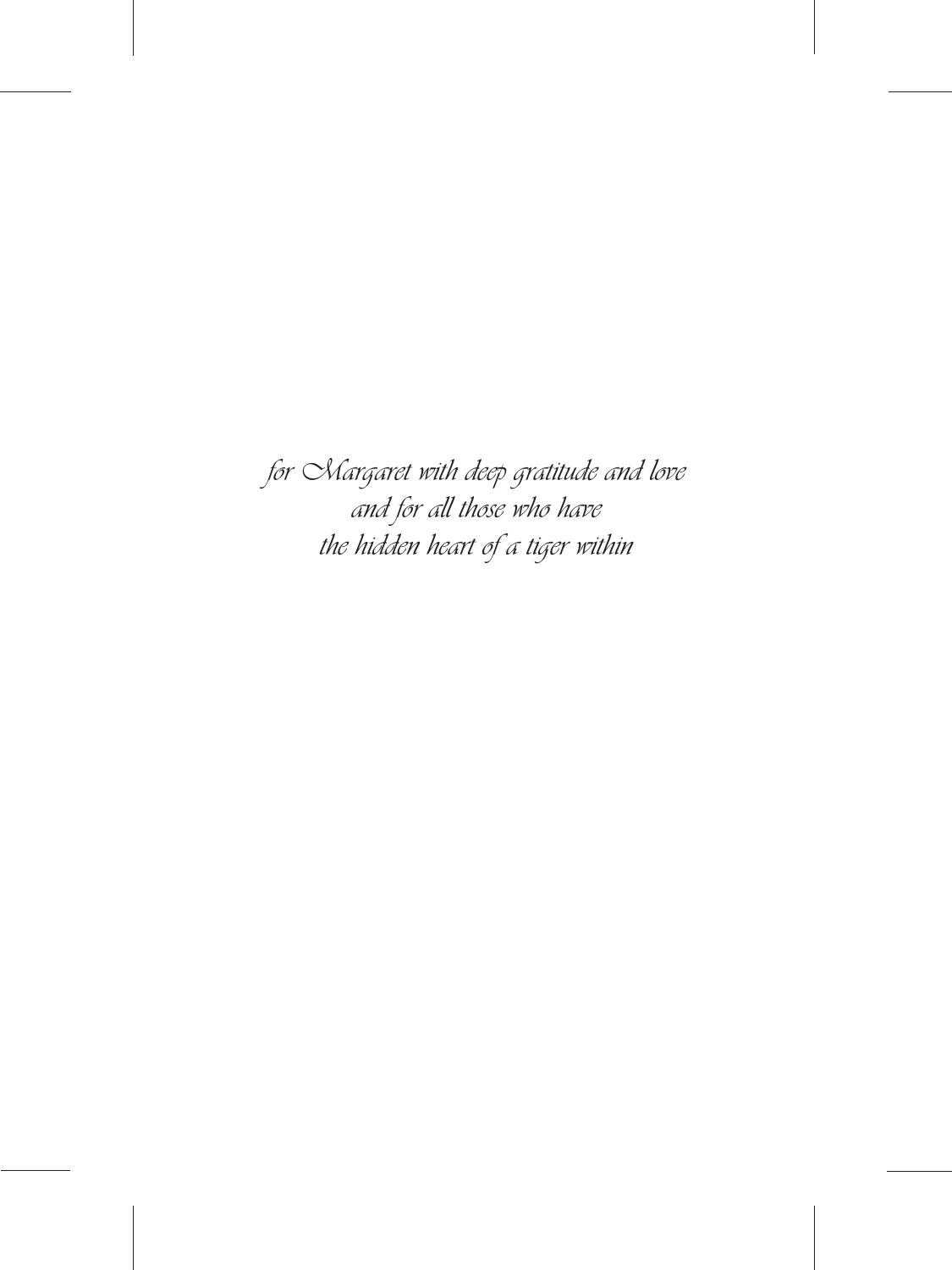for Margaret with deep gratitude and love and for all those who have the hidden heart of a tiger within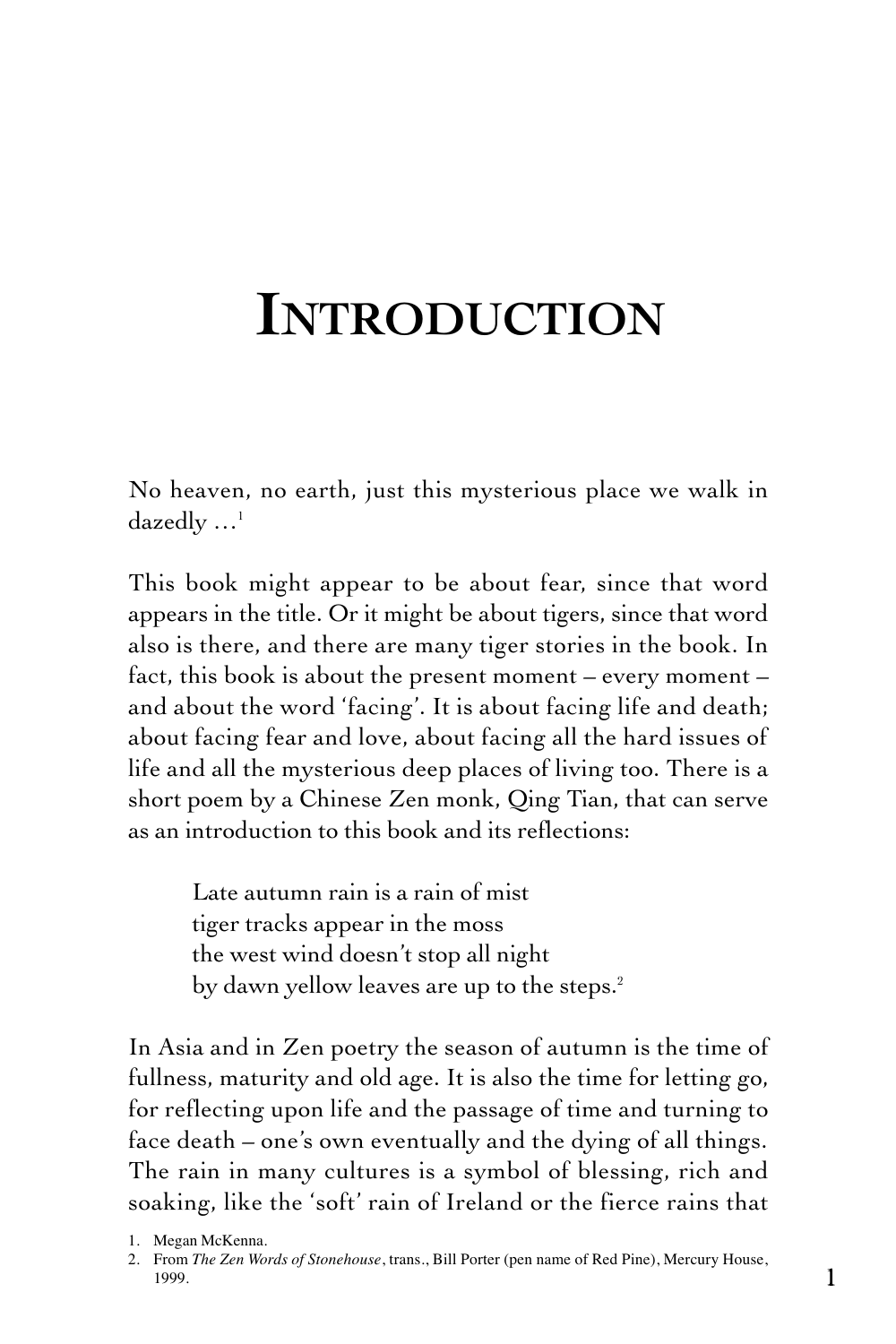### **INTRODUCTION**

No heaven, no earth, just this mysterious place we walk in dazedly …1

This book might appear to be about fear, since that word appears in the title. Or it might be about tigers, since that word also is there, and there are many tiger stories in the book. In fact, this book is about the present moment – every moment – and about the word 'facing'. It is about facing life and death; about facing fear and love, about facing all the hard issues of life and all the mysterious deep places of living too. There is a short poem by a Chinese Zen monk, Qing Tian, that can serve as an introduction to this book and its reflections:

Late autumn rain is a rain of mist tiger tracks appear in the moss the west wind doesn't stop all night by dawn yellow leaves are up to the steps.<sup>2</sup>

In Asia and in Zen poetry the season of autumn is the time of fullness, maturity and old age. It is also the time for letting go, for reflecting upon life and the passage of time and turning to face death – one's own eventually and the dying of all things. The rain in many cultures is a symbol of blessing, rich and soaking, like the 'soft' rain of Ireland or the fierce rains that

<sup>1.</sup> Megan McKenna.

<sup>2.</sup> From *The Zen Words of Stonehouse*, trans., Bill Porter (pen name of Red Pine), Mercury House, 1999.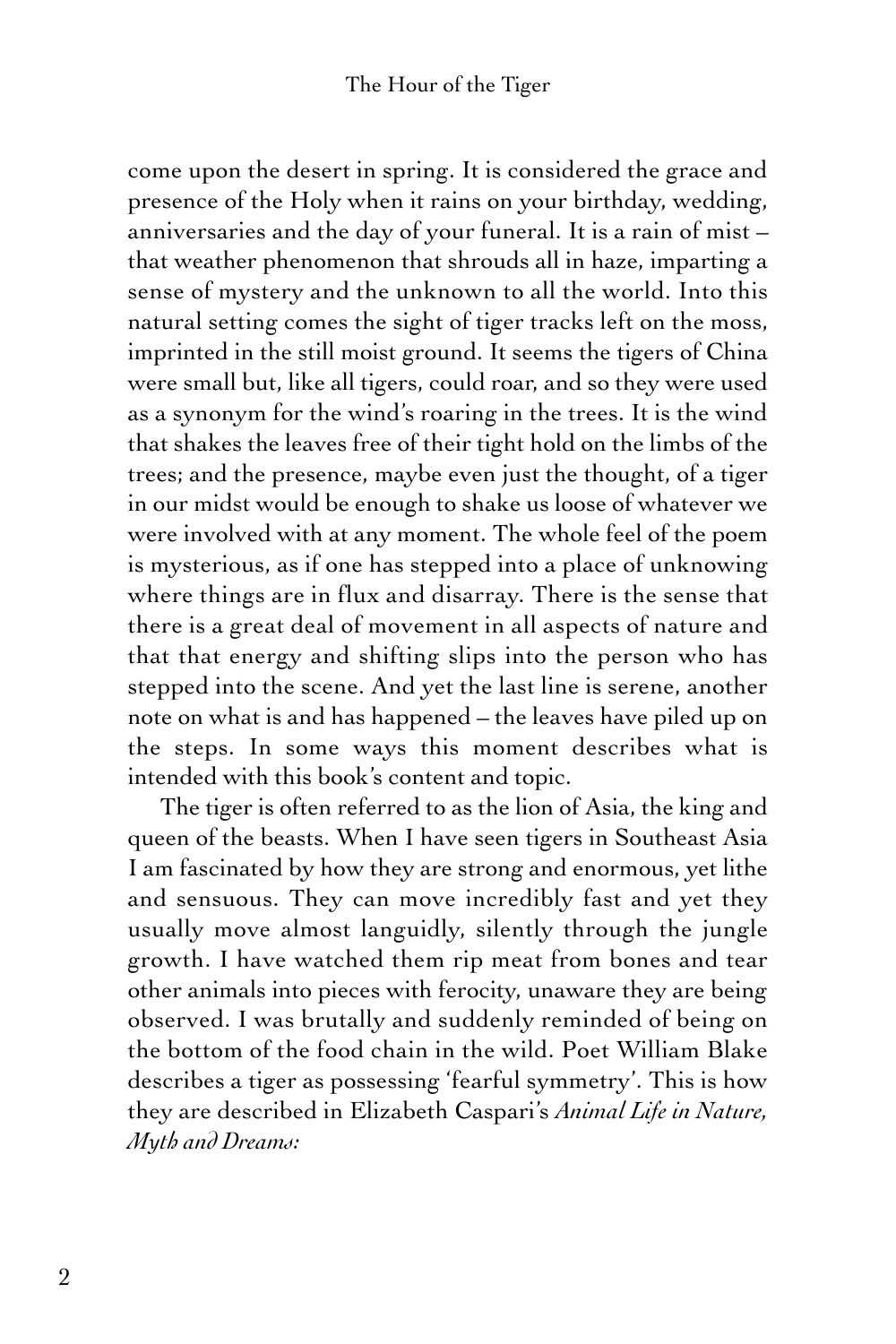come upon the desert in spring. It is considered the grace and presence of the Holy when it rains on your birthday, wedding, anniversaries and the day of your funeral. It is a rain of mist – that weather phenomenon that shrouds all in haze, imparting a sense of mystery and the unknown to all the world. Into this natural setting comes the sight of tiger tracks left on the moss, imprinted in the still moist ground. It seems the tigers of China were small but, like all tigers, could roar, and so they were used as a synonym for the wind's roaring in the trees. It is the wind that shakes the leaves free of their tight hold on the limbs of the trees; and the presence, maybe even just the thought, of a tiger in our midst would be enough to shake us loose of whatever we were involved with at any moment. The whole feel of the poem is mysterious, as if one has stepped into a place of unknowing where things are in flux and disarray. There is the sense that there is a great deal of movement in all aspects of nature and that that energy and shifting slips into the person who has stepped into the scene. And yet the last line is serene, another note on what is and has happened – the leaves have piled up on the steps. In some ways this moment describes what is intended with this book's content and topic.

The tiger is often referred to as the lion of Asia, the king and queen of the beasts. When I have seen tigers in Southeast Asia I am fascinated by how they are strong and enormous, yet lithe and sensuous. They can move incredibly fast and yet they usually move almost languidly, silently through the jungle growth. I have watched them rip meat from bones and tear other animals into pieces with ferocity, unaware they are being observed. I was brutally and suddenly reminded of being on the bottom of the food chain in the wild. Poet William Blake describes a tiger as possessing 'fearful symmetry'. This is how they are described in Elizabeth Caspari's *Animal Life in Nature, Myth and Dreams:*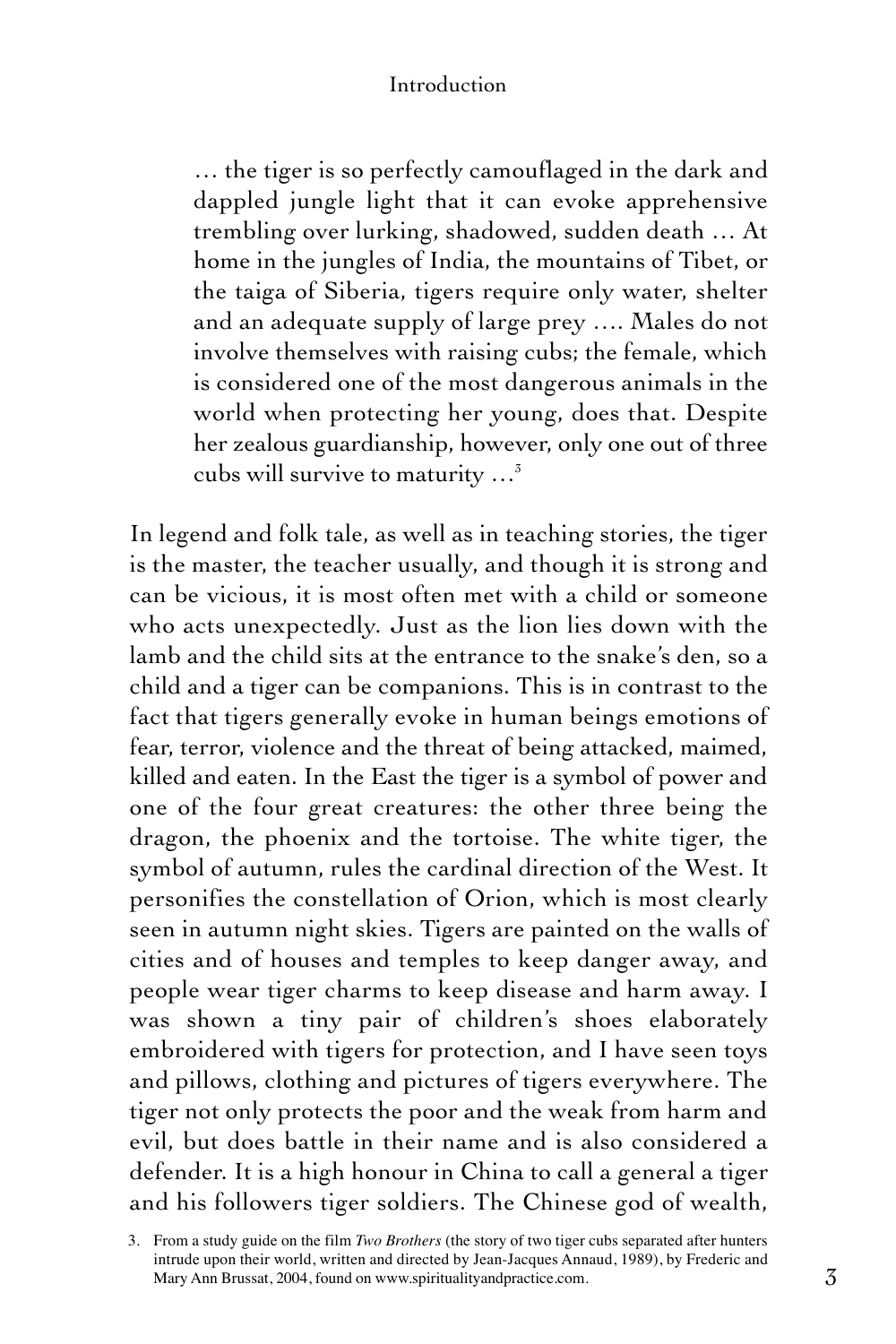… the tiger is so perfectly camouflaged in the dark and dappled jungle light that it can evoke apprehensive trembling over lurking, shadowed, sudden death … At home in the jungles of India, the mountains of Tibet, or the taiga of Siberia, tigers require only water, shelter and an adequate supply of large prey …. Males do not involve themselves with raising cubs; the female, which is considered one of the most dangerous animals in the world when protecting her young, does that. Despite her zealous guardianship, however, only one out of three cubs will survive to maturity …3

In legend and folk tale, as well as in teaching stories, the tiger is the master, the teacher usually, and though it is strong and can be vicious, it is most often met with a child or someone who acts unexpectedly. Just as the lion lies down with the lamb and the child sits at the entrance to the snake's den, so a child and a tiger can be companions. This is in contrast to the fact that tigers generally evoke in human beings emotions of fear, terror, violence and the threat of being attacked, maimed, killed and eaten. In the East the tiger is a symbol of power and one of the four great creatures: the other three being the dragon, the phoenix and the tortoise. The white tiger, the symbol of autumn, rules the cardinal direction of the West. It personifies the constellation of Orion, which is most clearly seen in autumn night skies. Tigers are painted on the walls of cities and of houses and temples to keep danger away, and people wear tiger charms to keep disease and harm away. I was shown a tiny pair of children's shoes elaborately embroidered with tigers for protection, and I have seen toys and pillows, clothing and pictures of tigers everywhere. The tiger not only protects the poor and the weak from harm and evil, but does battle in their name and is also considered a defender. It is a high honour in China to call a general a tiger and his followers tiger soldiers. The Chinese god of wealth,

<sup>3.</sup> From a study guide on the film *Two Brothers* (the story of two tiger cubs separated after hunters intrude upon their world, written and directed by Jean-Jacques Annaud, 1989), by Frederic and Mary Ann Brussat, 2004, found on www.spiritualityandpractice.com.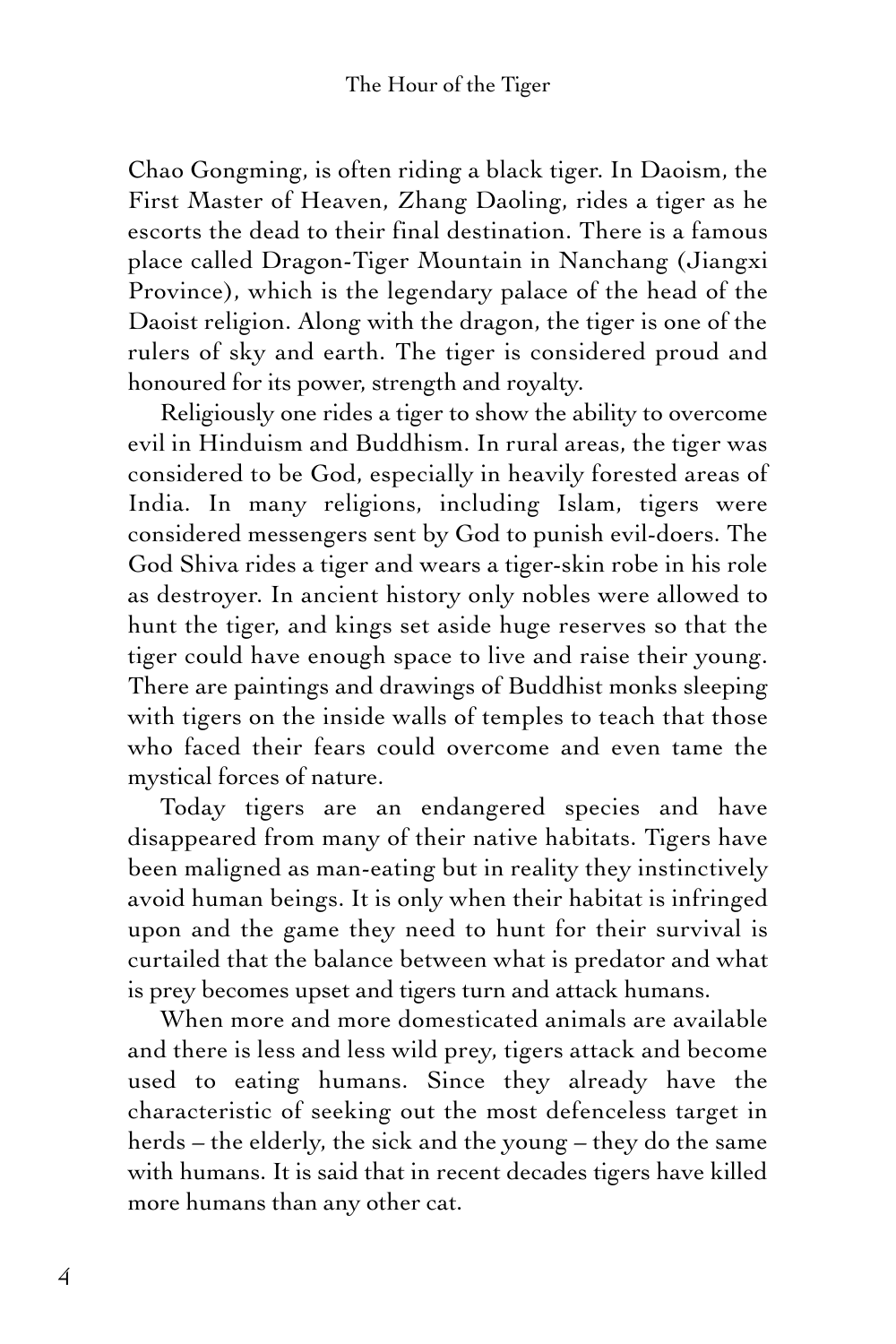Chao Gongming, is often riding a black tiger. In Daoism, the First Master of Heaven, Zhang Daoling, rides a tiger as he escorts the dead to their final destination. There is a famous place called Dragon-Tiger Mountain in Nanchang (Jiangxi Province), which is the legendary palace of the head of the Daoist religion. Along with the dragon, the tiger is one of the rulers of sky and earth. The tiger is considered proud and honoured for its power, strength and royalty.

Religiously one rides a tiger to show the ability to overcome evil in Hinduism and Buddhism. In rural areas, the tiger was considered to be God, especially in heavily forested areas of India. In many religions, including Islam, tigers were considered messengers sent by God to punish evil-doers. The God Shiva rides a tiger and wears a tiger-skin robe in his role as destroyer. In ancient history only nobles were allowed to hunt the tiger, and kings set aside huge reserves so that the tiger could have enough space to live and raise their young. There are paintings and drawings of Buddhist monks sleeping with tigers on the inside walls of temples to teach that those who faced their fears could overcome and even tame the mystical forces of nature.

Today tigers are an endangered species and have disappeared from many of their native habitats. Tigers have been maligned as man-eating but in reality they instinctively avoid human beings. It is only when their habitat is infringed upon and the game they need to hunt for their survival is curtailed that the balance between what is predator and what is prey becomes upset and tigers turn and attack humans.

When more and more domesticated animals are available and there is less and less wild prey, tigers attack and become used to eating humans. Since they already have the characteristic of seeking out the most defenceless target in herds – the elderly, the sick and the young – they do the same with humans. It is said that in recent decades tigers have killed more humans than any other cat.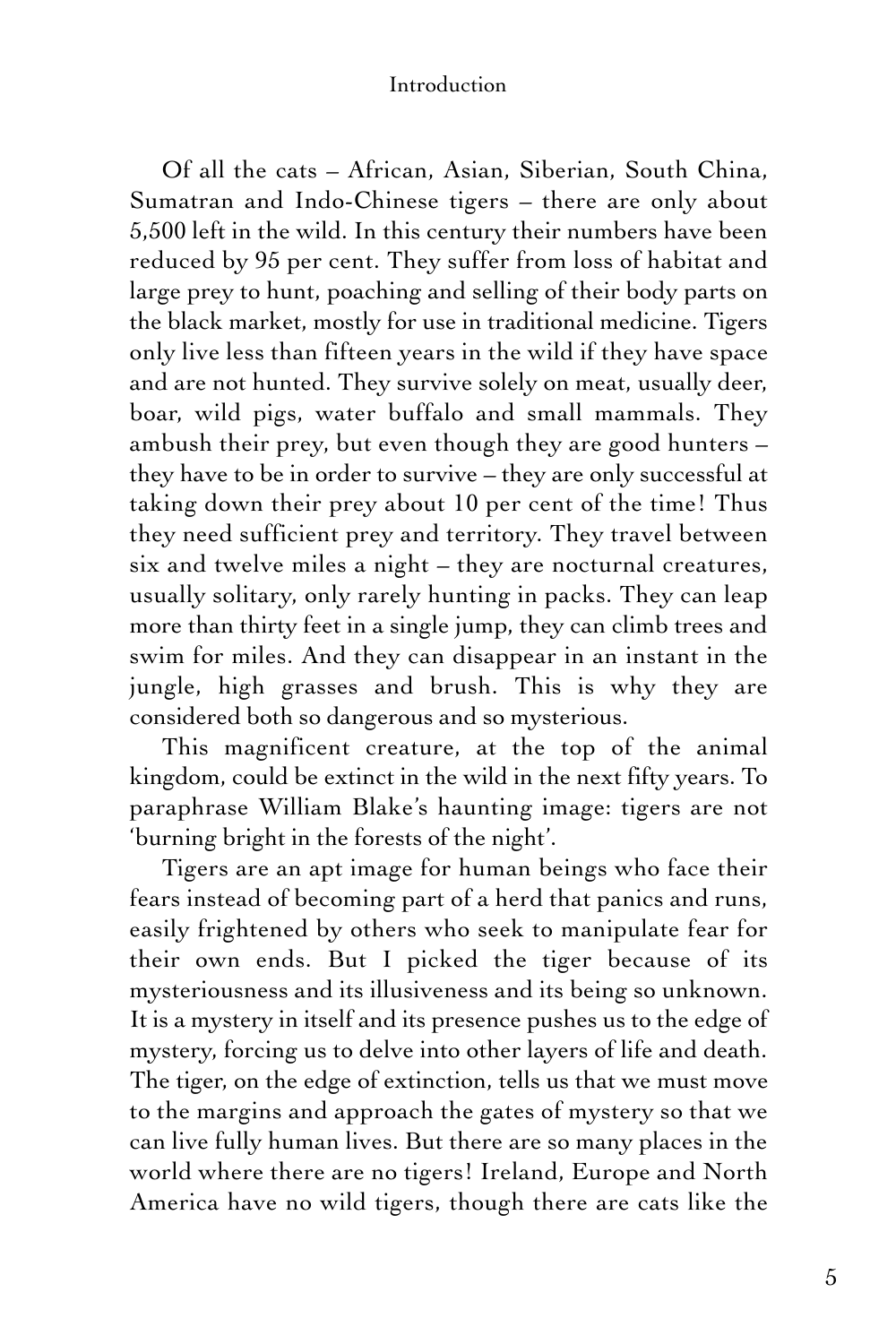Of all the cats – African, Asian, Siberian, South China, Sumatran and Indo-Chinese tigers – there are only about 5,500 left in the wild. In this century their numbers have been reduced by 95 per cent. They suffer from loss of habitat and large prey to hunt, poaching and selling of their body parts on the black market, mostly for use in traditional medicine. Tigers only live less than fifteen years in the wild if they have space and are not hunted. They survive solely on meat, usually deer, boar, wild pigs, water buffalo and small mammals. They ambush their prey, but even though they are good hunters – they have to be in order to survive – they are only successful at taking down their prey about 10 per cent of the time! Thus they need sufficient prey and territory. They travel between six and twelve miles a night – they are nocturnal creatures, usually solitary, only rarely hunting in packs. They can leap more than thirty feet in a single jump, they can climb trees and swim for miles. And they can disappear in an instant in the jungle, high grasses and brush. This is why they are considered both so dangerous and so mysterious.

This magnificent creature, at the top of the animal kingdom, could be extinct in the wild in the next fifty years. To paraphrase William Blake's haunting image: tigers are not 'burning bright in the forests of the night'.

Tigers are an apt image for human beings who face their fears instead of becoming part of a herd that panics and runs, easily frightened by others who seek to manipulate fear for their own ends. But I picked the tiger because of its mysteriousness and its illusiveness and its being so unknown. It is a mystery in itself and its presence pushes us to the edge of mystery, forcing us to delve into other layers of life and death. The tiger, on the edge of extinction, tells us that we must move to the margins and approach the gates of mystery so that we can live fully human lives. But there are so many places in the world where there are no tigers! Ireland, Europe and North America have no wild tigers, though there are cats like the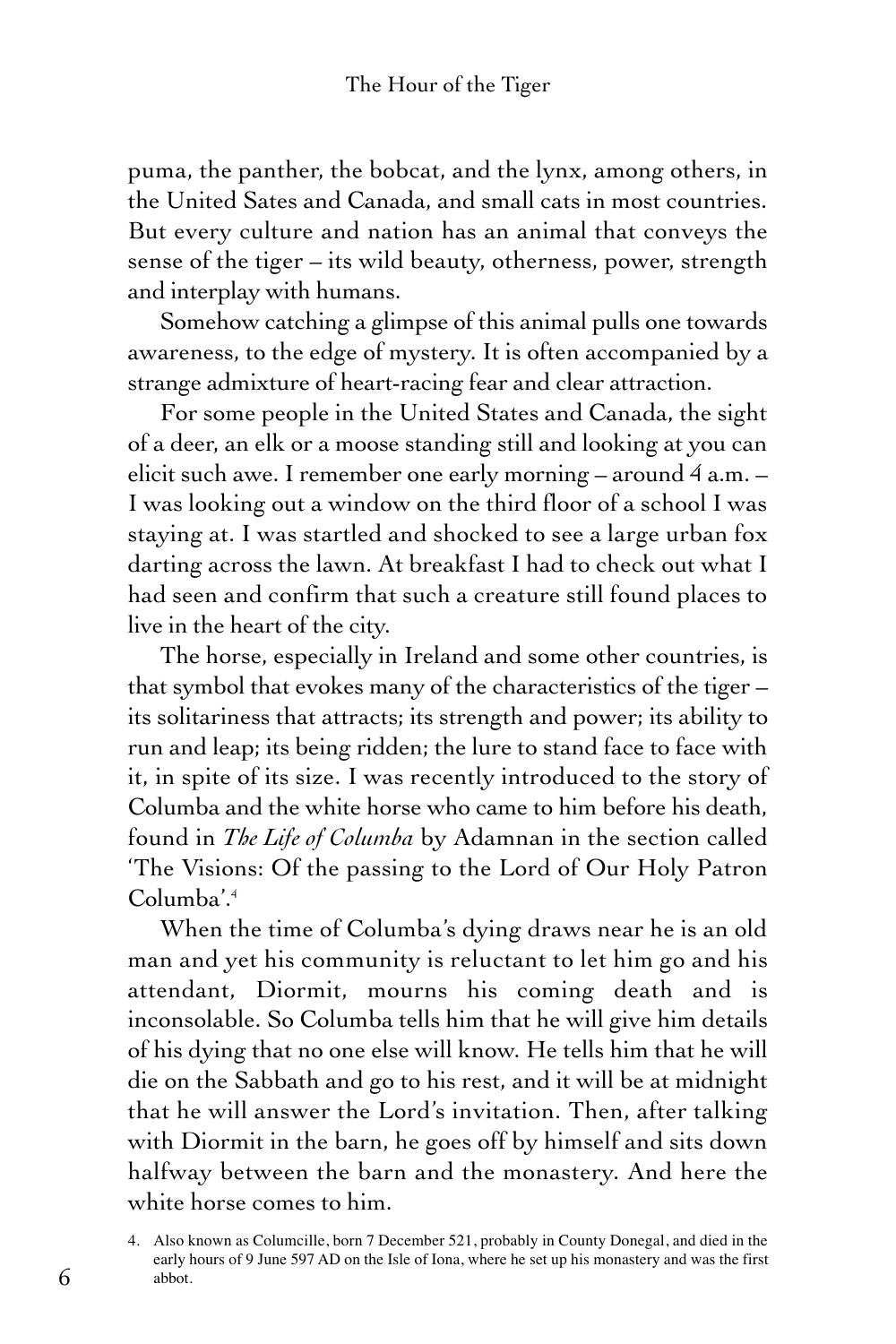puma, the panther, the bobcat, and the lynx, among others, in the United Sates and Canada, and small cats in most countries. But every culture and nation has an animal that conveys the sense of the tiger – its wild beauty, otherness, power, strength and interplay with humans.

Somehow catching a glimpse of this animal pulls one towards awareness, to the edge of mystery. It is often accompanied by a strange admixture of heart-racing fear and clear attraction.

For some people in the United States and Canada, the sight of a deer, an elk or a moose standing still and looking at you can elicit such awe. I remember one early morning – around 4 a.m. – I was looking out a window on the third floor of a school I was staying at. I was startled and shocked to see a large urban fox darting across the lawn. At breakfast I had to check out what I had seen and confirm that such a creature still found places to live in the heart of the city.

The horse, especially in Ireland and some other countries, is that symbol that evokes many of the characteristics of the tiger – its solitariness that attracts; its strength and power; its ability to run and leap; its being ridden; the lure to stand face to face with it, in spite of its size. I was recently introduced to the story of Columba and the white horse who came to him before his death, found in *The Life of Columba* by Adamnan in the section called 'The Visions: Of the passing to the Lord of Our Holy Patron Columba'.<sup>4</sup>

When the time of Columba's dying draws near he is an old man and yet his community is reluctant to let him go and his attendant, Diormit, mourns his coming death and is inconsolable. So Columba tells him that he will give him details of his dying that no one else will know. He tells him that he will die on the Sabbath and go to his rest, and it will be at midnight that he will answer the Lord's invitation. Then, after talking with Diormit in the barn, he goes off by himself and sits down halfway between the barn and the monastery. And here the white horse comes to him.

<sup>4.</sup> Also known as Columcille, born 7 December 521, probably in County Donegal, and died in the early hours of 9 June 597 AD on the Isle of Iona, where he set up his monastery and was the first abbot.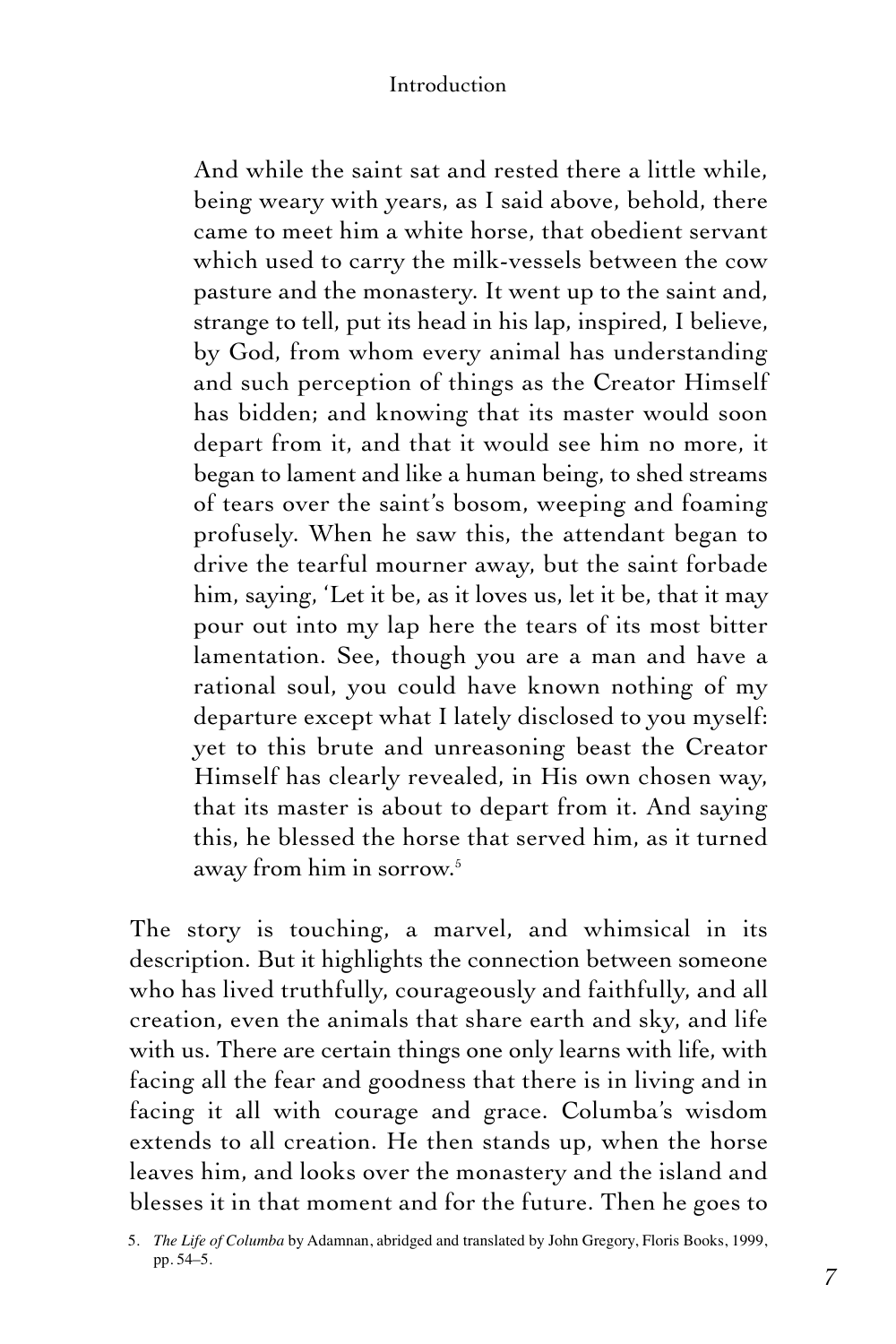And while the saint sat and rested there a little while, being weary with years, as I said above, behold, there came to meet him a white horse, that obedient servant which used to carry the milk-vessels between the cow pasture and the monastery. It went up to the saint and, strange to tell, put its head in his lap, inspired, I believe, by God, from whom every animal has understanding and such perception of things as the Creator Himself has bidden; and knowing that its master would soon depart from it, and that it would see him no more, it began to lament and like a human being, to shed streams of tears over the saint's bosom, weeping and foaming profusely. When he saw this, the attendant began to drive the tearful mourner away, but the saint forbade him, saying, 'Let it be, as it loves us, let it be, that it may pour out into my lap here the tears of its most bitter lamentation. See, though you are a man and have a rational soul, you could have known nothing of my departure except what I lately disclosed to you myself: yet to this brute and unreasoning beast the Creator Himself has clearly revealed, in His own chosen way, that its master is about to depart from it. And saying this, he blessed the horse that served him, as it turned away from him in sorrow.5

The story is touching, a marvel, and whimsical in its description. But it highlights the connection between someone who has lived truthfully, courageously and faithfully, and all creation, even the animals that share earth and sky, and life with us. There are certain things one only learns with life, with facing all the fear and goodness that there is in living and in facing it all with courage and grace. Columba's wisdom extends to all creation. He then stands up, when the horse leaves him, and looks over the monastery and the island and blesses it in that moment and for the future. Then he goes to

<sup>5.</sup> *The Life of Columba* by Adamnan, abridged and translated by John Gregory, Floris Books, 1999, pp. 54–5.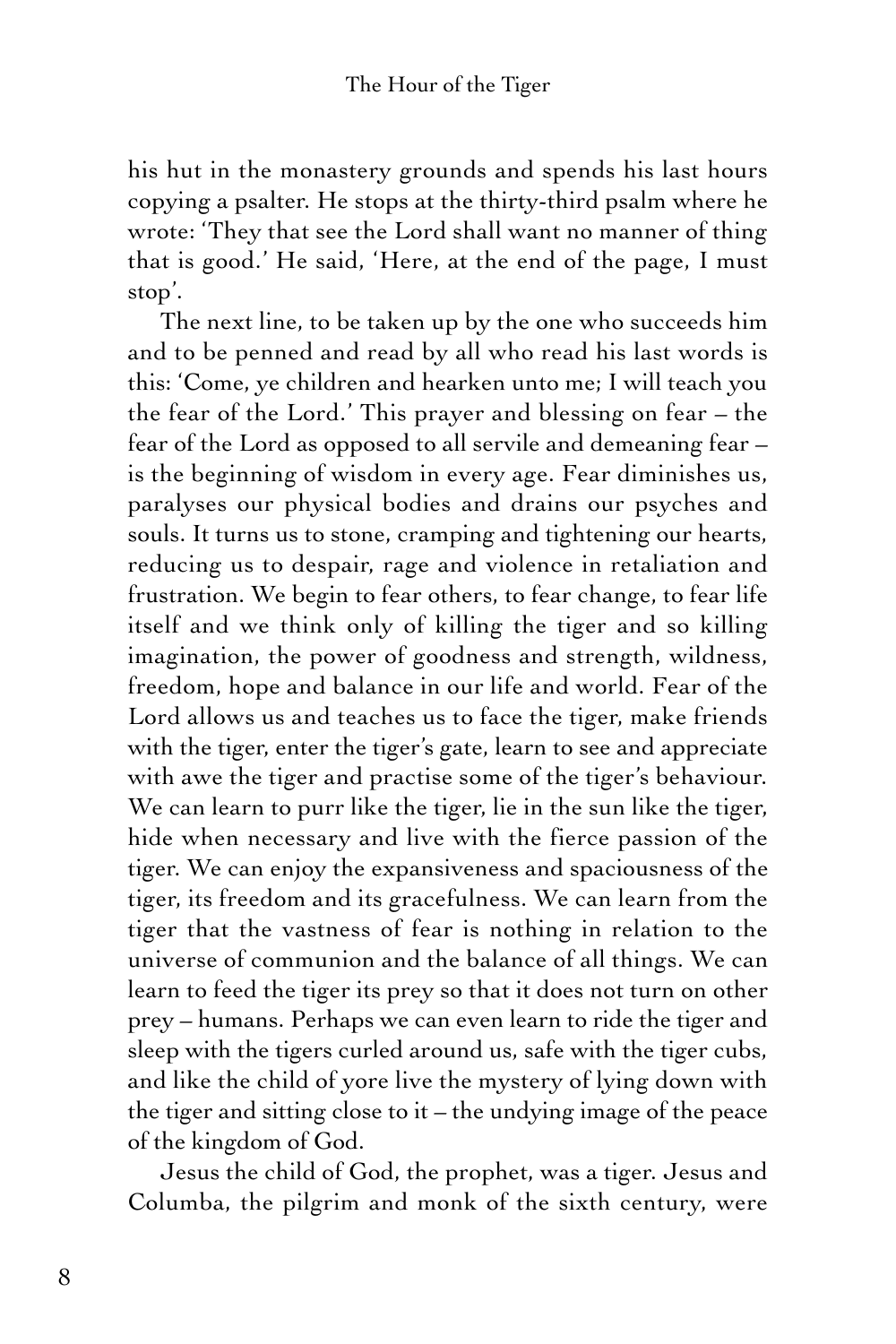his hut in the monastery grounds and spends his last hours copying a psalter. He stops at the thirty-third psalm where he wrote: 'They that see the Lord shall want no manner of thing that is good.' He said, 'Here, at the end of the page, I must stop'.

The next line, to be taken up by the one who succeeds him and to be penned and read by all who read his last words is this: 'Come, ye children and hearken unto me; I will teach you the fear of the Lord.' This prayer and blessing on fear – the fear of the Lord as opposed to all servile and demeaning fear – is the beginning of wisdom in every age. Fear diminishes us, paralyses our physical bodies and drains our psyches and souls. It turns us to stone, cramping and tightening our hearts, reducing us to despair, rage and violence in retaliation and frustration. We begin to fear others, to fear change, to fear life itself and we think only of killing the tiger and so killing imagination, the power of goodness and strength, wildness, freedom, hope and balance in our life and world. Fear of the Lord allows us and teaches us to face the tiger, make friends with the tiger, enter the tiger's gate, learn to see and appreciate with awe the tiger and practise some of the tiger's behaviour. We can learn to purr like the tiger, lie in the sun like the tiger, hide when necessary and live with the fierce passion of the tiger. We can enjoy the expansiveness and spaciousness of the tiger, its freedom and its gracefulness. We can learn from the tiger that the vastness of fear is nothing in relation to the universe of communion and the balance of all things. We can learn to feed the tiger its prey so that it does not turn on other prey – humans. Perhaps we can even learn to ride the tiger and sleep with the tigers curled around us, safe with the tiger cubs, and like the child of yore live the mystery of lying down with the tiger and sitting close to it – the undying image of the peace of the kingdom of God.

Jesus the child of God, the prophet, was a tiger. Jesus and Columba, the pilgrim and monk of the sixth century, were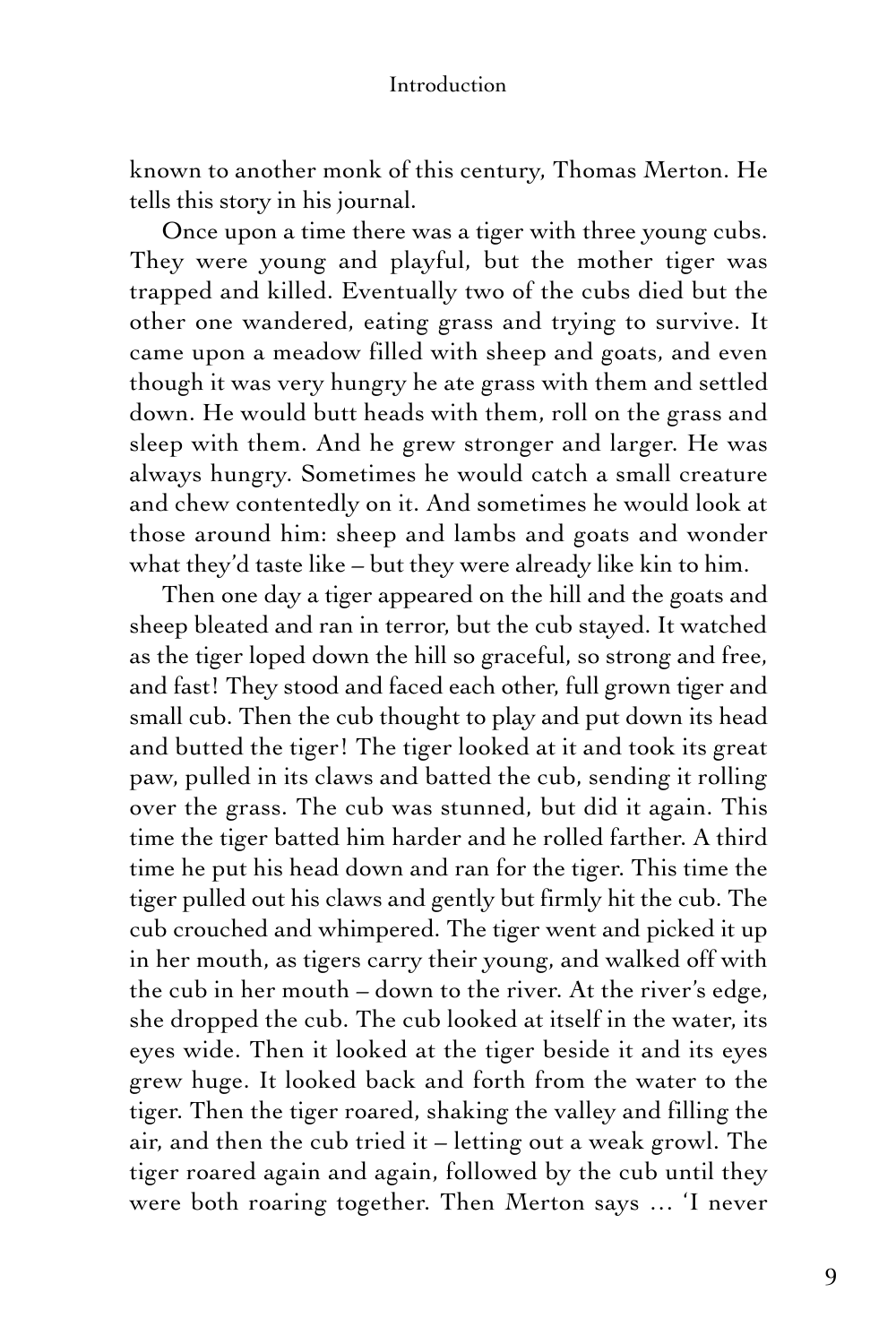known to another monk of this century, Thomas Merton. He tells this story in his journal.

Once upon a time there was a tiger with three young cubs. They were young and playful, but the mother tiger was trapped and killed. Eventually two of the cubs died but the other one wandered, eating grass and trying to survive. It came upon a meadow filled with sheep and goats, and even though it was very hungry he ate grass with them and settled down. He would butt heads with them, roll on the grass and sleep with them. And he grew stronger and larger. He was always hungry. Sometimes he would catch a small creature and chew contentedly on it. And sometimes he would look at those around him: sheep and lambs and goats and wonder what they'd taste like – but they were already like kin to him.

Then one day a tiger appeared on the hill and the goats and sheep bleated and ran in terror, but the cub stayed. It watched as the tiger loped down the hill so graceful, so strong and free, and fast! They stood and faced each other, full grown tiger and small cub. Then the cub thought to play and put down its head and butted the tiger! The tiger looked at it and took its great paw, pulled in its claws and batted the cub, sending it rolling over the grass. The cub was stunned, but did it again. This time the tiger batted him harder and he rolled farther. A third time he put his head down and ran for the tiger. This time the tiger pulled out his claws and gently but firmly hit the cub. The cub crouched and whimpered. The tiger went and picked it up in her mouth, as tigers carry their young, and walked off with the cub in her mouth – down to the river. At the river's edge, she dropped the cub. The cub looked at itself in the water, its eyes wide. Then it looked at the tiger beside it and its eyes grew huge. It looked back and forth from the water to the tiger. Then the tiger roared, shaking the valley and filling the air, and then the cub tried it – letting out a weak growl. The tiger roared again and again, followed by the cub until they were both roaring together. Then Merton says … 'I never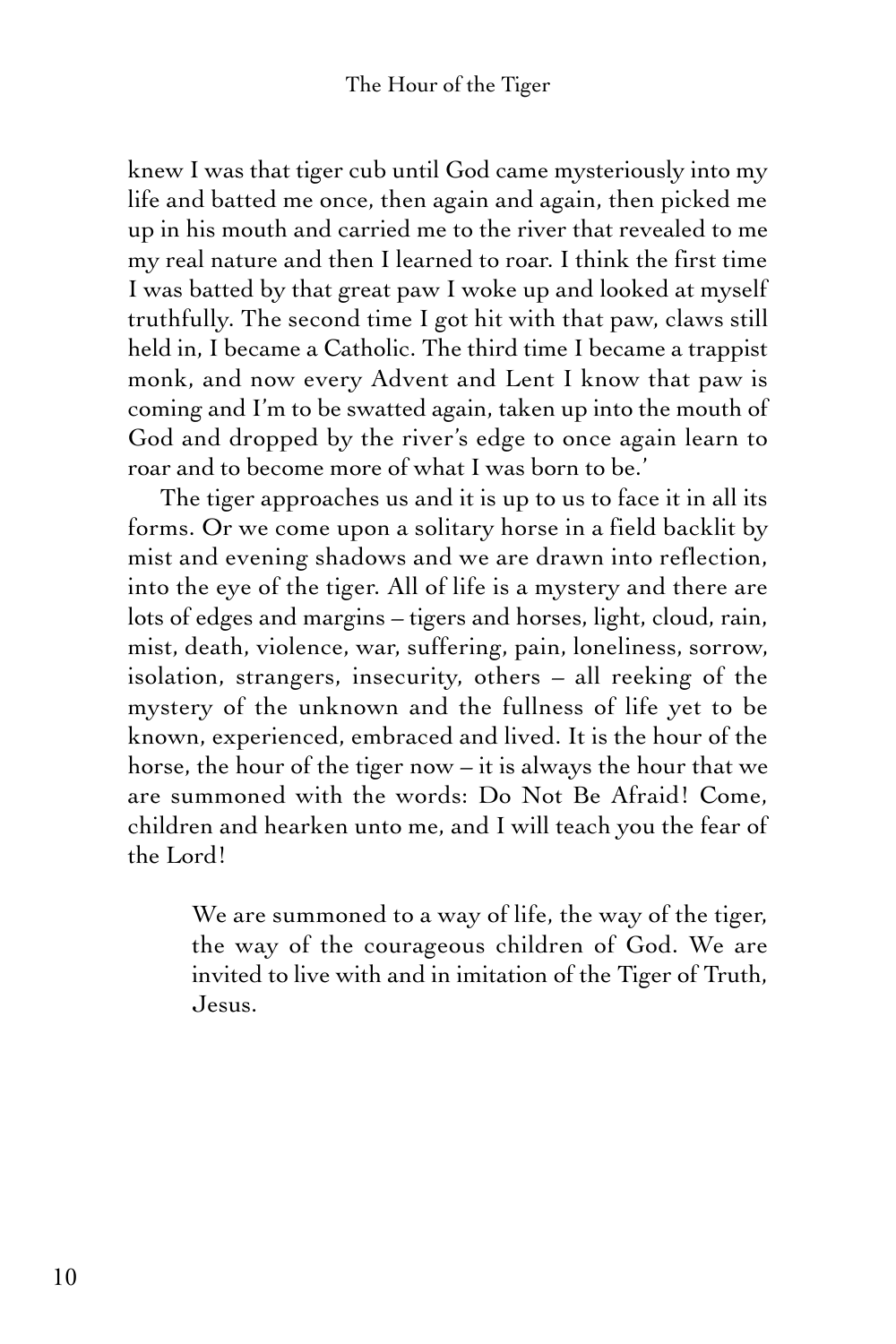knew I was that tiger cub until God came mysteriously into my life and batted me once, then again and again, then picked me up in his mouth and carried me to the river that revealed to me my real nature and then I learned to roar. I think the first time I was batted by that great paw I woke up and looked at myself truthfully. The second time I got hit with that paw, claws still held in, I became a Catholic. The third time I became a trappist monk, and now every Advent and Lent I know that paw is coming and I'm to be swatted again, taken up into the mouth of God and dropped by the river's edge to once again learn to roar and to become more of what I was born to be.'

The tiger approaches us and it is up to us to face it in all its forms. Or we come upon a solitary horse in a field backlit by mist and evening shadows and we are drawn into reflection, into the eye of the tiger. All of life is a mystery and there are lots of edges and margins – tigers and horses, light, cloud, rain, mist, death, violence, war, suffering, pain, loneliness, sorrow, isolation, strangers, insecurity, others – all reeking of the mystery of the unknown and the fullness of life yet to be known, experienced, embraced and lived. It is the hour of the horse, the hour of the tiger now – it is always the hour that we are summoned with the words: Do Not Be Afraid! Come, children and hearken unto me, and I will teach you the fear of the Lord!

We are summoned to a way of life, the way of the tiger, the way of the courageous children of God. We are invited to live with and in imitation of the Tiger of Truth, Jesus.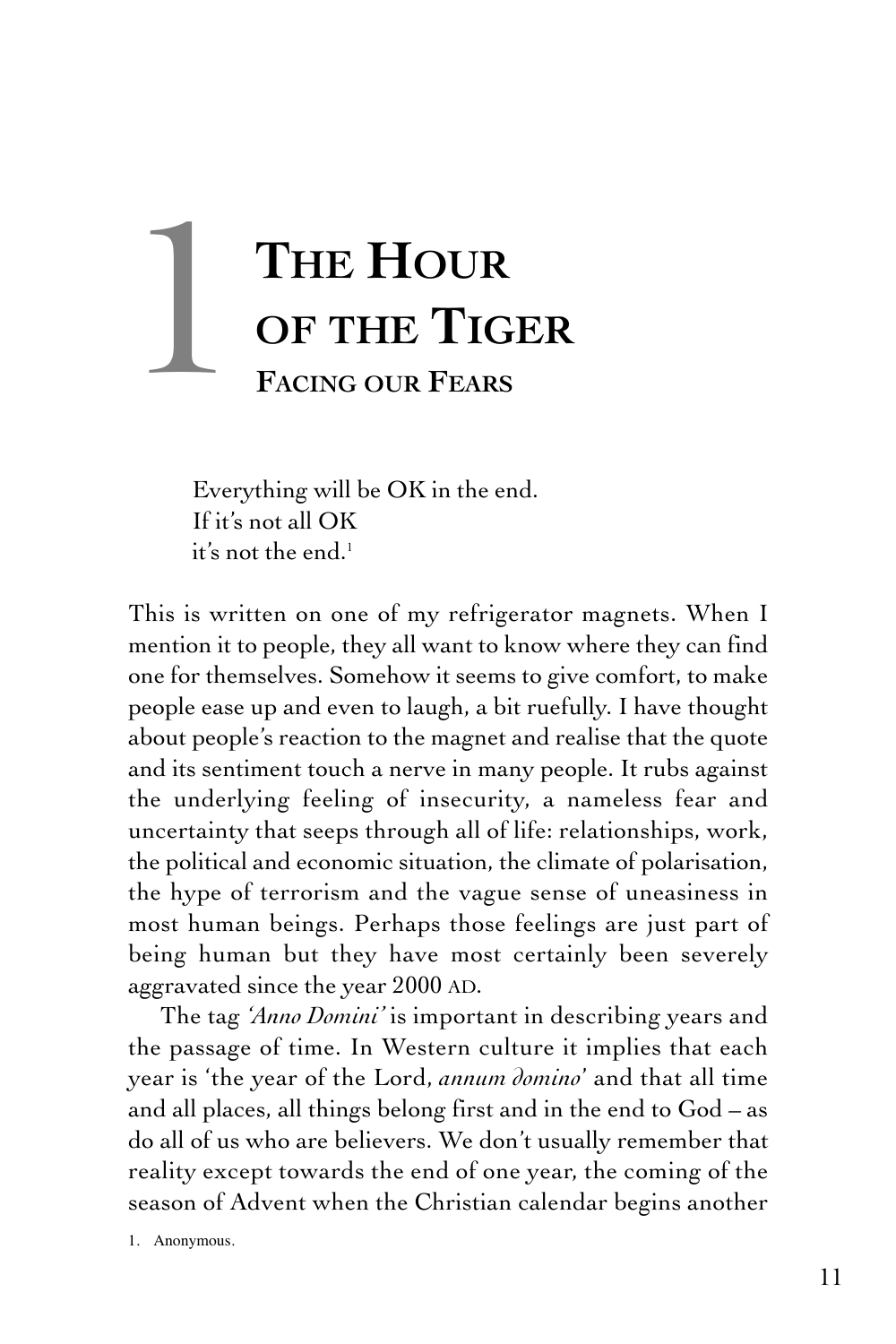## 1 **THE HOUR OF THE TIGER FACING OUR FEARS**

Everything will be OK in the end. If it's not all OK it's not the end.<sup>1</sup>

This is written on one of my refrigerator magnets. When I mention it to people, they all want to know where they can find one for themselves. Somehow it seems to give comfort, to make people ease up and even to laugh, a bit ruefully. I have thought about people's reaction to the magnet and realise that the quote and its sentiment touch a nerve in many people. It rubs against the underlying feeling of insecurity, a nameless fear and uncertainty that seeps through all of life: relationships, work, the political and economic situation, the climate of polarisation, the hype of terrorism and the vague sense of uneasiness in most human beings. Perhaps those feelings are just part of being human but they have most certainly been severely aggravated since the year 2000 AD.

The tag *'Anno Domini'* is important in describing years and the passage of time. In Western culture it implies that each year is 'the year of the Lord, *annum domino*' and that all time and all places, all things belong first and in the end to God – as do all of us who are believers. We don't usually remember that reality except towards the end of one year, the coming of the season of Advent when the Christian calendar begins another

<sup>1.</sup> Anonymous.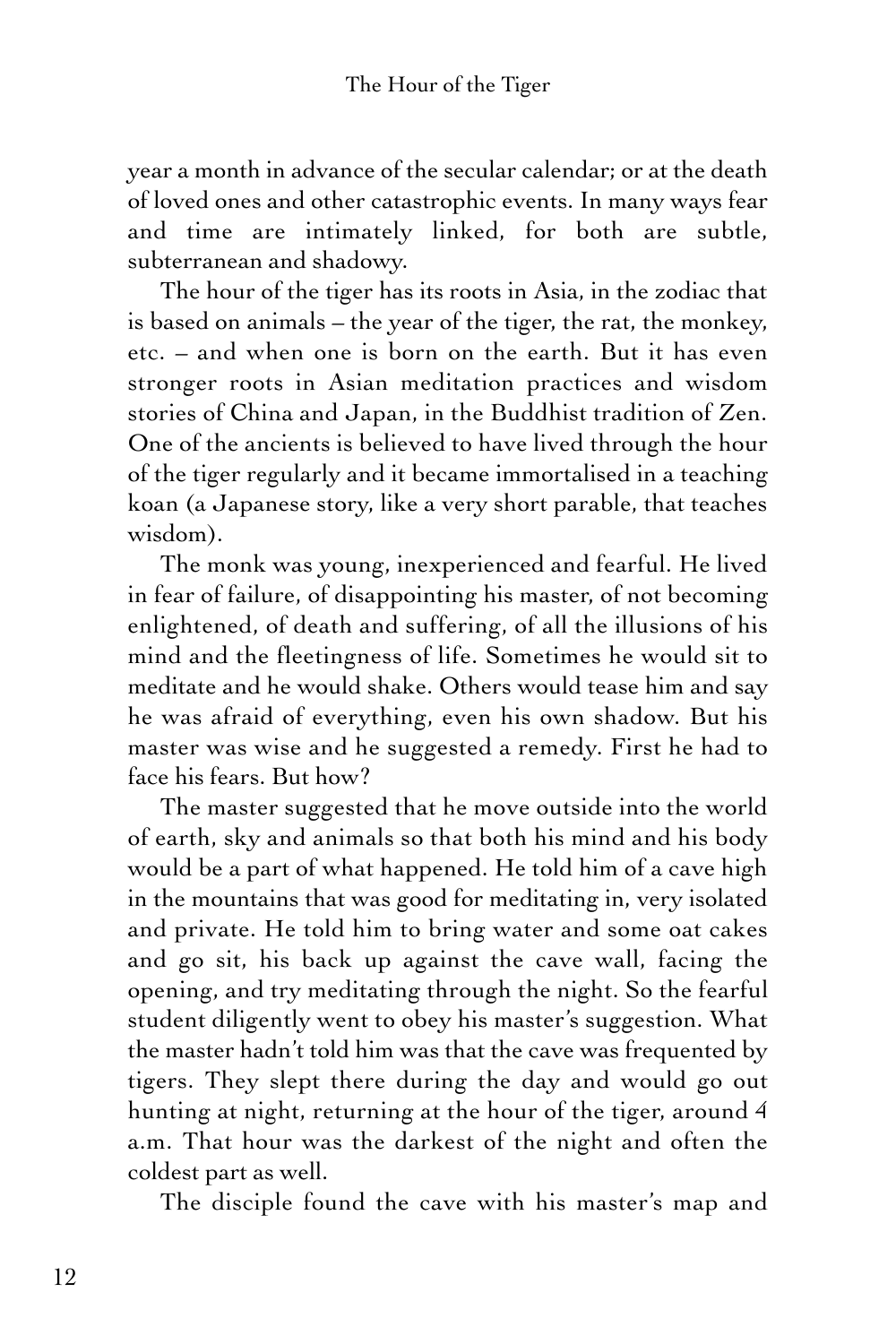year a month in advance of the secular calendar; or at the death of loved ones and other catastrophic events. In many ways fear and time are intimately linked, for both are subtle, subterranean and shadowy.

The hour of the tiger has its roots in Asia, in the zodiac that is based on animals – the year of the tiger, the rat, the monkey, etc. – and when one is born on the earth. But it has even stronger roots in Asian meditation practices and wisdom stories of China and Japan, in the Buddhist tradition of Zen. One of the ancients is believed to have lived through the hour of the tiger regularly and it became immortalised in a teaching koan (a Japanese story, like a very short parable, that teaches wisdom).

The monk was young, inexperienced and fearful. He lived in fear of failure, of disappointing his master, of not becoming enlightened, of death and suffering, of all the illusions of his mind and the fleetingness of life. Sometimes he would sit to meditate and he would shake. Others would tease him and say he was afraid of everything, even his own shadow. But his master was wise and he suggested a remedy. First he had to face his fears. But how?

The master suggested that he move outside into the world of earth, sky and animals so that both his mind and his body would be a part of what happened. He told him of a cave high in the mountains that was good for meditating in, very isolated and private. He told him to bring water and some oat cakes and go sit, his back up against the cave wall, facing the opening, and try meditating through the night. So the fearful student diligently went to obey his master's suggestion. What the master hadn't told him was that the cave was frequented by tigers. They slept there during the day and would go out hunting at night, returning at the hour of the tiger, around 4 a.m. That hour was the darkest of the night and often the coldest part as well.

The disciple found the cave with his master's map and